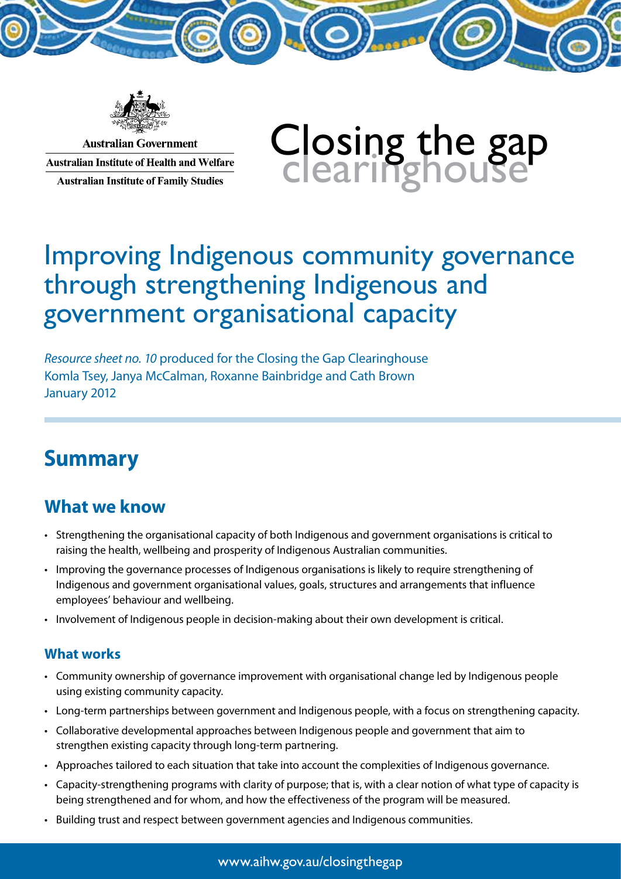

**Australian Government Australian Institute of Health and Welfare Australian Institute of Family Studies** 

# Closing the gap<br>Clearinghouse

# Improving Indigenous community governance through strengthening Indigenous and government organisational capacity

*Resource sheet no. 10* produced for the Closing the Gap Clearinghouse Komla Tsey, Janya McCalman, Roxanne Bainbridge and Cath Brown January 2012

# **Summary**

# **What we know**

- • Strengthening the organisational capacity of both Indigenous and government organisations is critical to raising the health, wellbeing and prosperity of Indigenous Australian communities.
- • Improving the governance processes of Indigenous organisations is likely to require strengthening of Indigenous and government organisational values, goals, structures and arrangements that influence employees' behaviour and wellbeing.
- • Involvement of Indigenous people in decision-making about their own development is critical.

#### **What works**

- • Community ownership of governance improvement with organisational change led by Indigenous people using existing community capacity.
- • Long-term partnerships between government and Indigenous people, with a focus on strengthening capacity.
- • Collaborative developmental approaches between Indigenous people and government that aim to strengthen existing capacity through long-term partnering.
- • Approaches tailored to each situation that take into account the complexities of Indigenous governance.
- • Capacity-strengthening programs with clarity of purpose; that is, with a clear notion of what type of capacity is being strengthened and for whom, and how the effectiveness of the program will be measured.
- • Building trust and respect between government agencies and Indigenous communities.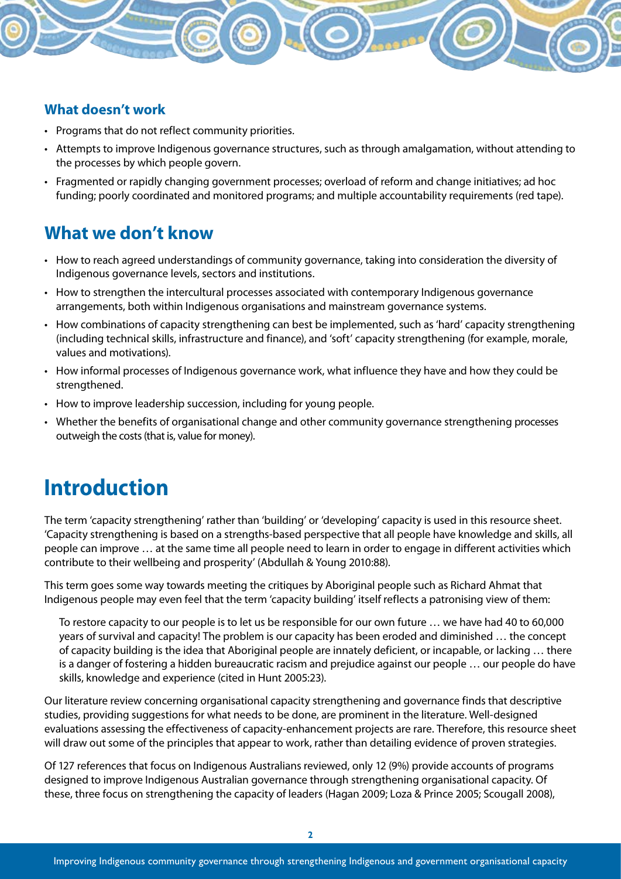#### **What doesn't work**

- Programs that do not reflect community priorities.
- • Attempts to improve Indigenous governance structures, such as through amalgamation, without attending to the processes by which people govern.
- • Fragmented or rapidly changing government processes; overload of reform and change initiatives; ad hoc funding; poorly coordinated and monitored programs; and multiple accountability requirements (red tape).

# **What we don't know**

- • How to reach agreed understandings of community governance, taking into consideration the diversity of Indigenous governance levels, sectors and institutions.
- How to strengthen the intercultural processes associated with contemporary Indigenous governance arrangements, both within Indigenous organisations and mainstream governance systems.
- How combinations of capacity strengthening can best be implemented, such as 'hard' capacity strengthening (including technical skills, infrastructure and finance), and 'soft' capacity strengthening (for example, morale, values and motivations).
- How informal processes of Indigenous governance work, what influence they have and how they could be strengthened.
- How to improve leadership succession, including for young people.
- • Whether the benefits of organisational change and other community governance strengthening processes outweigh the costs (that is, value for money).

# **Introduction**

The term 'capacity strengthening' rather than 'building' or 'developing' capacity is used in this resource sheet. 'Capacity strengthening is based on a strengths-based perspective that all people have knowledge and skills, all people can improve … at the same time all people need to learn in order to engage in different activities which contribute to their wellbeing and prosperity' (Abdullah & Young 2010:88).

This term goes some way towards meeting the critiques by Aboriginal people such as Richard Ahmat that Indigenous people may even feel that the term 'capacity building' itself reflects a patronising view of them:

To restore capacity to our people is to let us be responsible for our own future … we have had 40 to 60,000 years of survival and capacity! The problem is our capacity has been eroded and diminished … the concept of capacity building is the idea that Aboriginal people are innately deficient, or incapable, or lacking … there is a danger of fostering a hidden bureaucratic racism and prejudice against our people … our people do have skills, knowledge and experience (cited in Hunt 2005:23).

Our literature review concerning organisational capacity strengthening and governance finds that descriptive studies, providing suggestions for what needs to be done, are prominent in the literature. Well-designed evaluations assessing the effectiveness of capacity-enhancement projects are rare. Therefore, this resource sheet will draw out some of the principles that appear to work, rather than detailing evidence of proven strategies.

Of 127 references that focus on Indigenous Australians reviewed, only 12 (9%) provide accounts of programs designed to improve Indigenous Australian governance through strengthening organisational capacity. Of these, three focus on strengthening the capacity of leaders (Hagan 2009; Loza & Prince 2005; Scougall 2008),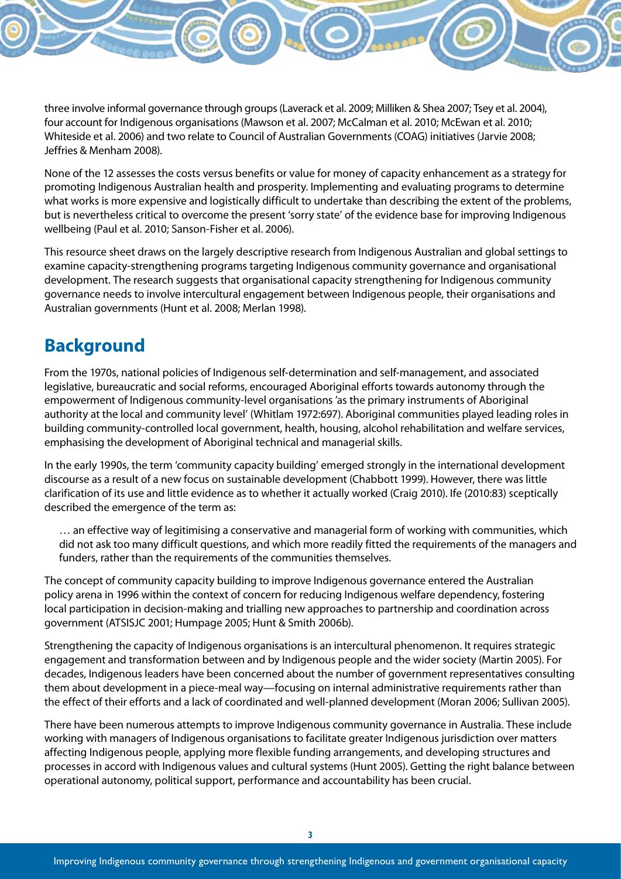three involve informal governance through groups (Laverack et al. 2009; Milliken & Shea 2007; Tsey et al. 2004), four account for Indigenous organisations (Mawson et al. 2007; McCalman et al. 2010; McEwan et al. 2010; Whiteside et al. 2006) and two relate to Council of Australian Governments (COAG) initiatives (Jarvie 2008; Jeffries & Menham 2008).

None of the 12 assesses the costs versus benefits or value for money of capacity enhancement as a strategy for promoting Indigenous Australian health and prosperity. Implementing and evaluating programs to determine what works is more expensive and logistically difficult to undertake than describing the extent of the problems, but is nevertheless critical to overcome the present 'sorry state' of the evidence base for improving Indigenous wellbeing (Paul et al. 2010; Sanson-Fisher et al. 2006).

This resource sheet draws on the largely descriptive research from Indigenous Australian and global settings to examine capacity-strengthening programs targeting Indigenous community governance and organisational development. The research suggests that organisational capacity strengthening for Indigenous community governance needs to involve intercultural engagement between Indigenous people, their organisations and Australian governments (Hunt et al. 2008; Merlan 1998).

## **Background**

From the 1970s, national policies of Indigenous self-determination and self-management, and associated legislative, bureaucratic and social reforms, encouraged Aboriginal efforts towards autonomy through the empowerment of Indigenous community-level organisations 'as the primary instruments of Aboriginal authority at the local and community level' (Whitlam 1972:697). Aboriginal communities played leading roles in building community-controlled local government, health, housing, alcohol rehabilitation and welfare services, emphasising the development of Aboriginal technical and managerial skills.

In the early 1990s, the term 'community capacity building' emerged strongly in the international development discourse as a result of a new focus on sustainable development (Chabbott 1999). However, there was little clarification of its use and little evidence as to whether it actually worked (Craig 2010). Ife (2010:83) sceptically described the emergence of the term as:

… an effective way of legitimising a conservative and managerial form of working with communities, which did not ask too many difficult questions, and which more readily fitted the requirements of the managers and funders, rather than the requirements of the communities themselves.

The concept of community capacity building to improve Indigenous governance entered the Australian policy arena in 1996 within the context of concern for reducing Indigenous welfare dependency, fostering local participation in decision-making and trialling new approaches to partnership and coordination across government (ATSISJC 2001; Humpage 2005; Hunt & Smith 2006b).

Strengthening the capacity of Indigenous organisations is an intercultural phenomenon. It requires strategic engagement and transformation between and by Indigenous people and the wider society (Martin 2005). For decades, Indigenous leaders have been concerned about the number of government representatives consulting them about development in a piece-meal way—focusing on internal administrative requirements rather than the effect of their efforts and a lack of coordinated and well-planned development (Moran 2006; Sullivan 2005).

There have been numerous attempts to improve Indigenous community governance in Australia. These include working with managers of Indigenous organisations to facilitate greater Indigenous jurisdiction over matters affecting Indigenous people, applying more flexible funding arrangements, and developing structures and processes in accord with Indigenous values and cultural systems (Hunt 2005). Getting the right balance between operational autonomy, political support, performance and accountability has been crucial.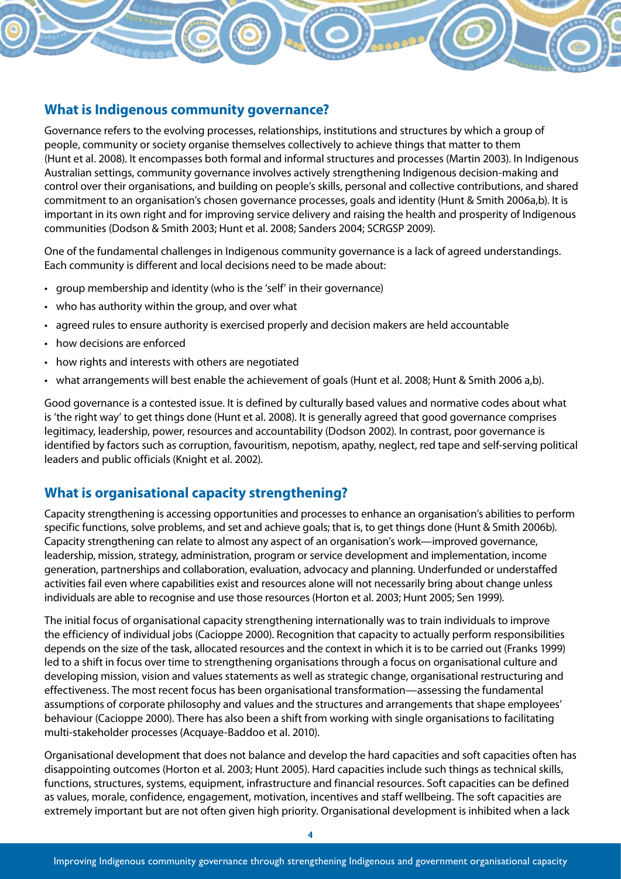#### **What is Indigenous community governance?**

Governance refers to the evolving processes, relationships, institutions and structures by which a group of people, community or society organise themselves collectively to achieve things that matter to them (Hunt et al. 2008). It encompasses both formal and informal structures and processes (Martin 2003). In Indigenous Australian settings, community governance involves actively strengthening Indigenous decision-making and control over their organisations, and building on people's skills, personal and collective contributions, and shared commitment to an organisation's chosen governance processes, goals and identity (Hunt & Smith 2006a,b). It is important in its own right and for improving service delivery and raising the health and prosperity of Indigenous communities (Dodson & Smith 2003; Hunt et al. 2008; Sanders 2004; SCRGSP 2009).

One of the fundamental challenges in Indigenous community governance is a lack of agreed understandings. Each community is different and local decisions need to be made about:

- group membership and identity (who is the 'self' in their governance)
- $\cdot$  who has authority within the group, and over what
- • agreed rules to ensure authority is exercised properly and decision makers are held accountable
- how decisions are enforced
- how rights and interests with others are negotiated
- what arrangements will best enable the achievement of goals (Hunt et al. 2008; Hunt & Smith 2006 a,b).

Good governance is a contested issue. It is defined by culturally based values and normative codes about what is 'the right way' to get things done (Hunt et al. 2008). It is generally agreed that good governance comprises legitimacy, leadership, power, resources and accountability (Dodson 2002). In contrast, poor governance is identified by factors such as corruption, favouritism, nepotism, apathy, neglect, red tape and self-serving political leaders and public officials (Knight et al. 2002).

#### **What is organisational capacity strengthening?**

Capacity strengthening is accessing opportunities and processes to enhance an organisation's abilities to perform specific functions, solve problems, and set and achieve goals; that is, to get things done (Hunt & Smith 2006b). Capacity strengthening can relate to almost any aspect of an organisation's work—improved governance, leadership, mission, strategy, administration, program or service development and implementation, income generation, partnerships and collaboration, evaluation, advocacy and planning. Underfunded or understaffed activities fail even where capabilities exist and resources alone will not necessarily bring about change unless individuals are able to recognise and use those resources (Horton et al. 2003; Hunt 2005; Sen 1999).

The initial focus of organisational capacity strengthening internationally was to train individuals to improve the efficiency of individual jobs (Cacioppe 2000). Recognition that capacity to actually perform responsibilities depends on the size of the task, allocated resources and the context in which it is to be carried out (Franks 1999) led to a shift in focus over time to strengthening organisations through a focus on organisational culture and developing mission, vision and values statements as well as strategic change, organisational restructuring and effectiveness. The most recent focus has been organisational transformation—assessing the fundamental assumptions of corporate philosophy and values and the structures and arrangements that shape employees' behaviour (Cacioppe 2000). There has also been a shift from working with single organisations to facilitating multi-stakeholder processes (Acquaye-Baddoo et al. 2010).

Organisational development that does not balance and develop the hard capacities and soft capacities often has disappointing outcomes (Horton et al. 2003; Hunt 2005). Hard capacities include such things as technical skills, functions, structures, systems, equipment, infrastructure and financial resources. Soft capacities can be defined as values, morale, confidence, engagement, motivation, incentives and staff wellbeing. The soft capacities are extremely important but are not often given high priority. Organisational development is inhibited when a lack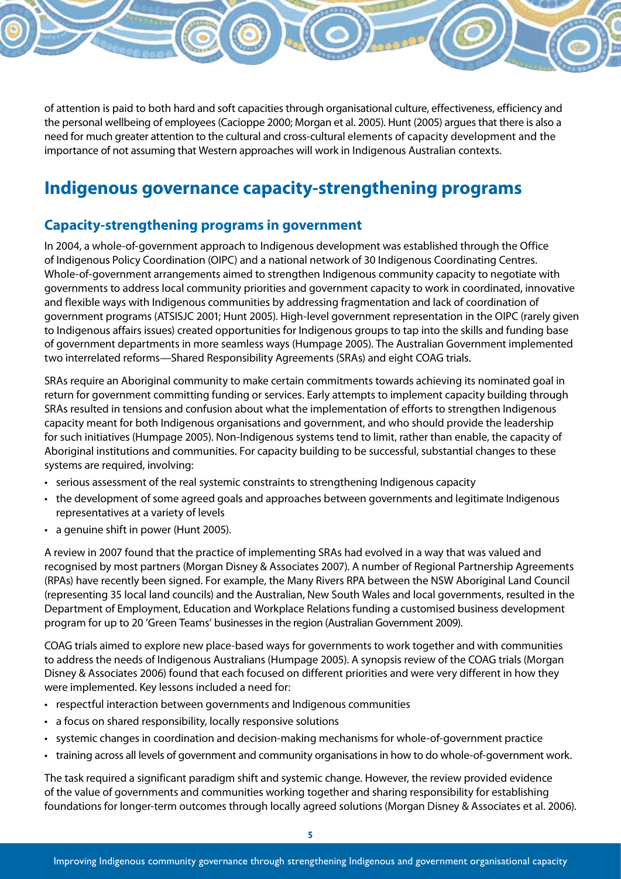of attention is paid to both hard and soft capacities through organisational culture, effectiveness, efficiency and the personal wellbeing of employees (Cacioppe 2000; Morgan et al. 2005). Hunt (2005) argues that there is also a need for much greater attention to the cultural and cross-cultural elements of capacity development and the importance of not assuming that Western approaches will work in Indigenous Australian contexts.

## **Indigenous governance capacity-strengthening programs**

#### **Capacity-strengthening programs in government**

In 2004, a whole-of-government approach to Indigenous development was established through the Office of Indigenous Policy Coordination (OIPC) and a national network of 30 Indigenous Coordinating Centres. Whole-of-government arrangements aimed to strengthen Indigenous community capacity to negotiate with governments to address local community priorities and government capacity to work in coordinated, innovative and flexible ways with Indigenous communities by addressing fragmentation and lack of coordination of government programs (ATSISJC 2001; Hunt 2005). High-level government representation in the OIPC (rarely given to Indigenous affairs issues) created opportunities for Indigenous groups to tap into the skills and funding base of government departments in more seamless ways (Humpage 2005). The Australian Government implemented two interrelated reforms—Shared Responsibility Agreements (SRAs) and eight COAG trials.

SRAs require an Aboriginal community to make certain commitments towards achieving its nominated goal in return for government committing funding or services. Early attempts to implement capacity building through SRAs resulted in tensions and confusion about what the implementation of efforts to strengthen Indigenous capacity meant for both Indigenous organisations and government, and who should provide the leadership for such initiatives (Humpage 2005). Non-Indigenous systems tend to limit, rather than enable, the capacity of Aboriginal institutions and communities. For capacity building to be successful, substantial changes to these systems are required, involving:

- • serious assessment of the real systemic constraints to strengthening Indigenous capacity
- the development of some agreed goals and approaches between governments and legitimate Indigenous representatives at a variety of levels
- • a genuine shift in power (Hunt 2005).

A review in 2007 found that the practice of implementing SRAs had evolved in a way that was valued and recognised by most partners (Morgan Disney & Associates 2007). A number of Regional Partnership Agreements (RPAs) have recently been signed. For example, the Many Rivers RPA between the NSW Aboriginal Land Council (representing 35 local land councils) and the Australian, New South Wales and local governments, resulted in the Department of Employment, Education and Workplace Relations funding a customised business development program for up to 20 'Green Teams' businesses in the region (Australian Government 2009).

COAG trials aimed to explore new place-based ways for governments to work together and with communities to address the needs of Indigenous Australians (Humpage 2005). A synopsis review of the COAG trials (Morgan Disney & Associates 2006) found that each focused on different priorities and were very different in how they were implemented. Key lessons included a need for:

- respectful interaction between governments and Indigenous communities
- a focus on shared responsibility, locally responsive solutions
- systemic changes in coordination and decision-making mechanisms for whole-of-government practice
- training across all levels of government and community organisations in how to do whole-of-government work.

The task required a significant paradigm shift and systemic change. However, the review provided evidence of the value of governments and communities working together and sharing responsibility for establishing foundations for longer-term outcomes through locally agreed solutions (Morgan Disney & Associates et al. 2006).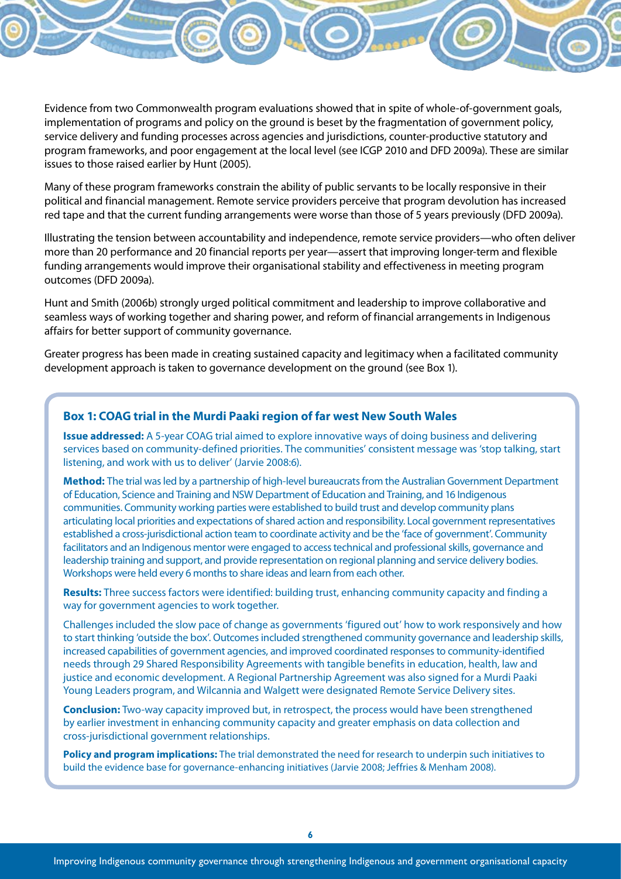Evidence from two Commonwealth program evaluations showed that in spite of whole-of-government goals, implementation of programs and policy on the ground is beset by the fragmentation of government policy, service delivery and funding processes across agencies and jurisdictions, counter-productive statutory and program frameworks, and poor engagement at the local level (see ICGP 2010 and DFD 2009a). These are similar issues to those raised earlier by Hunt (2005).

Many of these program frameworks constrain the ability of public servants to be locally responsive in their political and financial management. Remote service providers perceive that program devolution has increased red tape and that the current funding arrangements were worse than those of 5 years previously (DFD 2009a).

Illustrating the tension between accountability and independence, remote service providers—who often deliver more than 20 performance and 20 financial reports per year—assert that improving longer-term and flexible funding arrangements would improve their organisational stability and effectiveness in meeting program outcomes (DFD 2009a).

Hunt and Smith (2006b) strongly urged political commitment and leadership to improve collaborative and seamless ways of working together and sharing power, and reform of financial arrangements in Indigenous affairs for better support of community governance.

Greater progress has been made in creating sustained capacity and legitimacy when a facilitated community development approach is taken to governance development on the ground (see Box 1).

#### **Box 1: COAG trial in the Murdi Paaki region of far west New South Wales**

**Issue addressed:** A 5-year COAG trial aimed to explore innovative ways of doing business and delivering services based on community-defined priorities. The communities' consistent message was 'stop talking, start listening, and work with us to deliver' (Jarvie 2008:6).

**Method:** The trial was led by a partnership of high-level bureaucrats from the Australian Government Department of Education, Science and Training and NSW Department of Education and Training, and 16 Indigenous communities. Community working parties were established to build trust and develop community plans articulating local priorities and expectations of shared action and responsibility. Local government representatives established a cross-jurisdictional action team to coordinate activity and be the 'face of government'. Community facilitators and an Indigenous mentor were engaged to access technical and professional skills, governance and leadership training and support, and provide representation on regional planning and service delivery bodies. Workshops were held every 6 months to share ideas and learn from each other.

**Results:** Three success factors were identified: building trust, enhancing community capacity and finding a way for government agencies to work together.

Challenges included the slow pace of change as governments 'figured out' how to work responsively and how to start thinking 'outside the box'. Outcomes included strengthened community governance and leadership skills, increased capabilities of government agencies, and improved coordinated responses to community-identified needs through 29 Shared Responsibility Agreements with tangible benefits in education, health, law and justice and economic development. A Regional Partnership Agreement was also signed for a Murdi Paaki Young Leaders program, and Wilcannia and Walgett were designated Remote Service Delivery sites.

**Conclusion:** Two-way capacity improved but, in retrospect, the process would have been strengthened by earlier investment in enhancing community capacity and greater emphasis on data collection and cross-jurisdictional government relationships.

**Policy and program implications:** The trial demonstrated the need for research to underpin such initiatives to build the evidence base for governance-enhancing initiatives (Jarvie 2008; Jeffries & Menham 2008).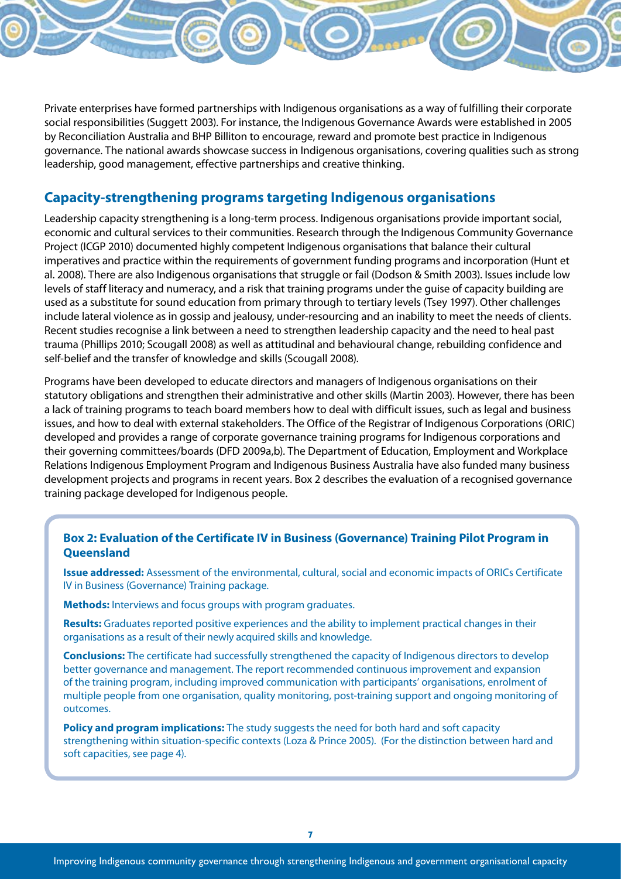Private enterprises have formed partnerships with Indigenous organisations as a way of fulfilling their corporate social responsibilities (Suggett 2003). For instance, the Indigenous Governance Awards were established in 2005 by Reconciliation Australia and BHP Billiton to encourage, reward and promote best practice in Indigenous governance. The national awards showcase success in Indigenous organisations, covering qualities such as strong leadership, good management, effective partnerships and creative thinking.

#### **Capacity-strengthening programs targeting Indigenous organisations**

Leadership capacity strengthening is a long-term process. Indigenous organisations provide important social, economic and cultural services to their communities. Research through the Indigenous Community Governance Project (ICGP 2010) documented highly competent Indigenous organisations that balance their cultural imperatives and practice within the requirements of government funding programs and incorporation (Hunt et al. 2008). There are also Indigenous organisations that struggle or fail (Dodson & Smith 2003). Issues include low levels of staff literacy and numeracy, and a risk that training programs under the guise of capacity building are used as a substitute for sound education from primary through to tertiary levels (Tsey 1997). Other challenges include lateral violence as in gossip and jealousy, under-resourcing and an inability to meet the needs of clients. Recent studies recognise a link between a need to strengthen leadership capacity and the need to heal past trauma (Phillips 2010; Scougall 2008) as well as attitudinal and behavioural change, rebuilding confidence and self-belief and the transfer of knowledge and skills (Scougall 2008).

Programs have been developed to educate directors and managers of Indigenous organisations on their statutory obligations and strengthen their administrative and other skills (Martin 2003). However, there has been a lack of training programs to teach board members how to deal with difficult issues, such as legal and business issues, and how to deal with external stakeholders. The Office of the Registrar of Indigenous Corporations (ORIC) developed and provides a range of corporate governance training programs for Indigenous corporations and their governing committees/boards (DFD 2009a,b). The Department of Education, Employment and Workplace Relations Indigenous Employment Program and Indigenous Business Australia have also funded many business development projects and programs in recent years. Box 2 describes the evaluation of a recognised governance training package developed for Indigenous people.

#### **Box 2: Evaluation of the Certificate IV in Business (Governance) Training Pilot Program in Queensland**

**Issue addressed:** Assessment of the environmental, cultural, social and economic impacts of ORICs Certificate IV in Business (Governance) Training package.

**Methods:** Interviews and focus groups with program graduates.

**Results:** Graduates reported positive experiences and the ability to implement practical changes in their organisations as a result of their newly acquired skills and knowledge.

**Conclusions:** The certificate had successfully strengthened the capacity of Indigenous directors to develop better governance and management. The report recommended continuous improvement and expansion of the training program, including improved communication with participants' organisations, enrolment of multiple people from one organisation, quality monitoring, post-training support and ongoing monitoring of outcomes.

**Policy and program implications:** The study suggests the need for both hard and soft capacity strengthening within situation-specific contexts (Loza & Prince 2005). (For the distinction between hard and soft capacities, see page 4).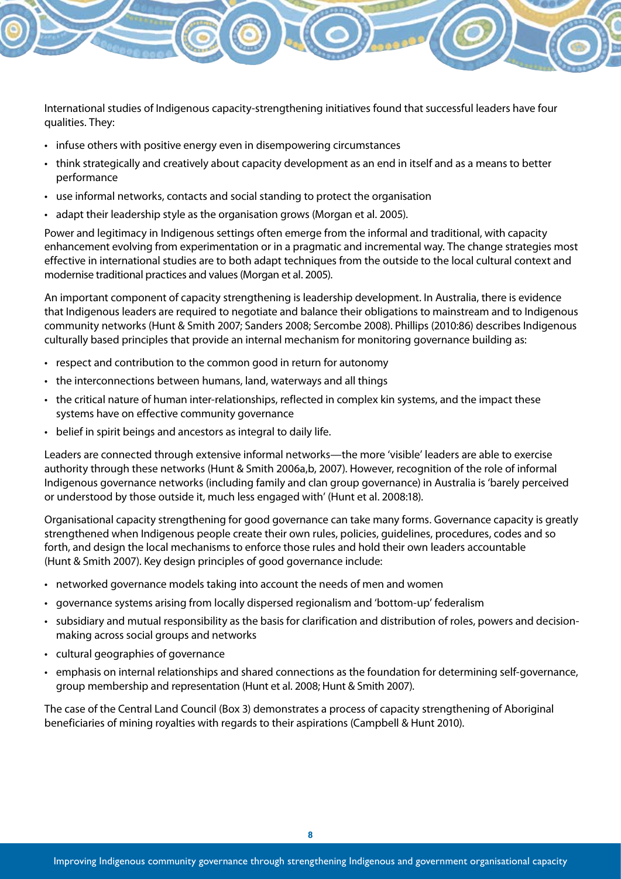International studies of Indigenous capacity-strengthening initiatives found that successful leaders have four qualities. They:

- infuse others with positive energy even in disempowering circumstances
- • think strategically and creatively about capacity development as an end in itself and as a means to better performance
- • use informal networks, contacts and social standing to protect the organisation
- adapt their leadership style as the organisation grows (Morgan et al. 2005).

Power and legitimacy in Indigenous settings often emerge from the informal and traditional, with capacity enhancement evolving from experimentation or in a pragmatic and incremental way. The change strategies most effective in international studies are to both adapt techniques from the outside to the local cultural context and modernise traditional practices and values (Morgan et al. 2005).

An important component of capacity strengthening is leadership development. In Australia, there is evidence that Indigenous leaders are required to negotiate and balance their obligations to mainstream and to Indigenous community networks (Hunt & Smith 2007; Sanders 2008; Sercombe 2008). Phillips (2010:86) describes Indigenous culturally based principles that provide an internal mechanism for monitoring governance building as:

- respect and contribution to the common good in return for autonomy
- the interconnections between humans, land, waterways and all things
- • the critical nature of human inter-relationships, reflected in complex kin systems, and the impact these systems have on effective community governance
- belief in spirit beings and ancestors as integral to daily life.

Leaders are connected through extensive informal networks—the more 'visible' leaders are able to exercise authority through these networks (Hunt & Smith 2006a,b, 2007). However, recognition of the role of informal Indigenous governance networks (including family and clan group governance) in Australia is 'barely perceived or understood by those outside it, much less engaged with' (Hunt et al. 2008:18).

Organisational capacity strengthening for good governance can take many forms. Governance capacity is greatly strengthened when Indigenous people create their own rules, policies, guidelines, procedures, codes and so forth, and design the local mechanisms to enforce those rules and hold their own leaders accountable (Hunt & Smith 2007). Key design principles of good governance include:

- • networked governance models taking into account the needs of men and women
- • governance systems arising from locally dispersed regionalism and 'bottom-up' federalism
- subsidiary and mutual responsibility as the basis for clarification and distribution of roles, powers and decisionmaking across social groups and networks
- • cultural geographies of governance
- emphasis on internal relationships and shared connections as the foundation for determining self-governance, group membership and representation (Hunt et al. 2008; Hunt & Smith 2007).

The case of the Central Land Council (Box 3) demonstrates a process of capacity strengthening of Aboriginal beneficiaries of mining royalties with regards to their aspirations (Campbell & Hunt 2010).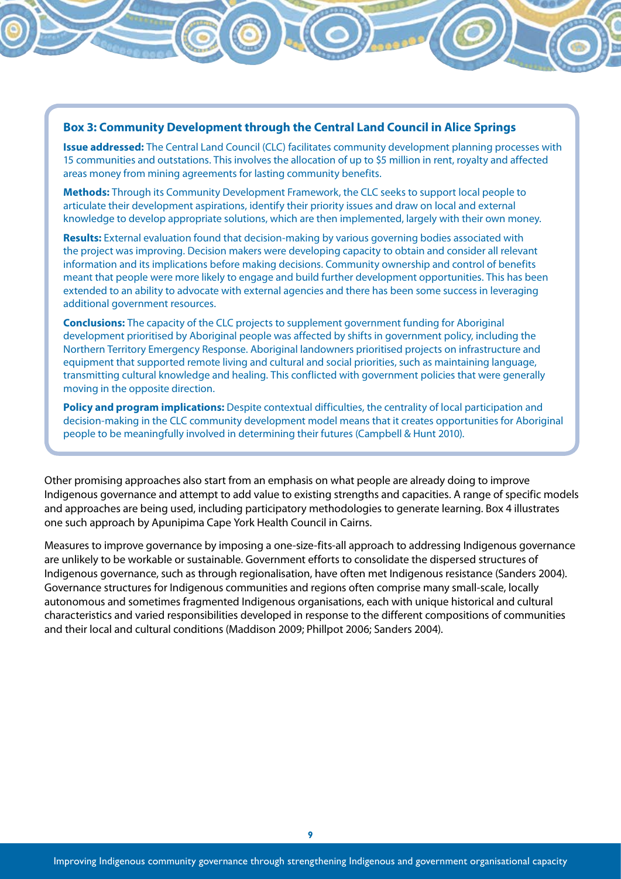#### **Box 3: Community Development through the Central Land Council in Alice Springs**

**Issue addressed:** The Central Land Council (CLC) facilitates community development planning processes with 15 communities and outstations. This involves the allocation of up to \$5 million in rent, royalty and affected areas money from mining agreements for lasting community benefits.

**Methods:** Through its Community Development Framework, the CLC seeks to support local people to articulate their development aspirations, identify their priority issues and draw on local and external knowledge to develop appropriate solutions, which are then implemented, largely with their own money.

**Results:** External evaluation found that decision-making by various governing bodies associated with the project was improving. Decision makers were developing capacity to obtain and consider all relevant information and its implications before making decisions. Community ownership and control of benefits meant that people were more likely to engage and build further development opportunities. This has been extended to an ability to advocate with external agencies and there has been some success in leveraging additional government resources.

**Conclusions:** The capacity of the CLC projects to supplement government funding for Aboriginal development prioritised by Aboriginal people was affected by shifts in government policy, including the Northern Territory Emergency Response. Aboriginal landowners prioritised projects on infrastructure and equipment that supported remote living and cultural and social priorities, such as maintaining language, transmitting cultural knowledge and healing. This conflicted with government policies that were generally moving in the opposite direction.

**Policy and program implications:** Despite contextual difficulties, the centrality of local participation and decision-making in the CLC community development model means that it creates opportunities for Aboriginal people to be meaningfully involved in determining their futures (Campbell & Hunt 2010).

Other promising approaches also start from an emphasis on what people are already doing to improve Indigenous governance and attempt to add value to existing strengths and capacities. A range of specific models and approaches are being used, including participatory methodologies to generate learning. Box 4 illustrates one such approach by Apunipima Cape York Health Council in Cairns.

Measures to improve governance by imposing a one-size-fits-all approach to addressing Indigenous governance are unlikely to be workable or sustainable. Government efforts to consolidate the dispersed structures of Indigenous governance, such as through regionalisation, have often met Indigenous resistance (Sanders 2004). Governance structures for Indigenous communities and regions often comprise many small-scale, locally autonomous and sometimes fragmented Indigenous organisations, each with unique historical and cultural characteristics and varied responsibilities developed in response to the different compositions of communities and their local and cultural conditions (Maddison 2009; Phillpot 2006; Sanders 2004).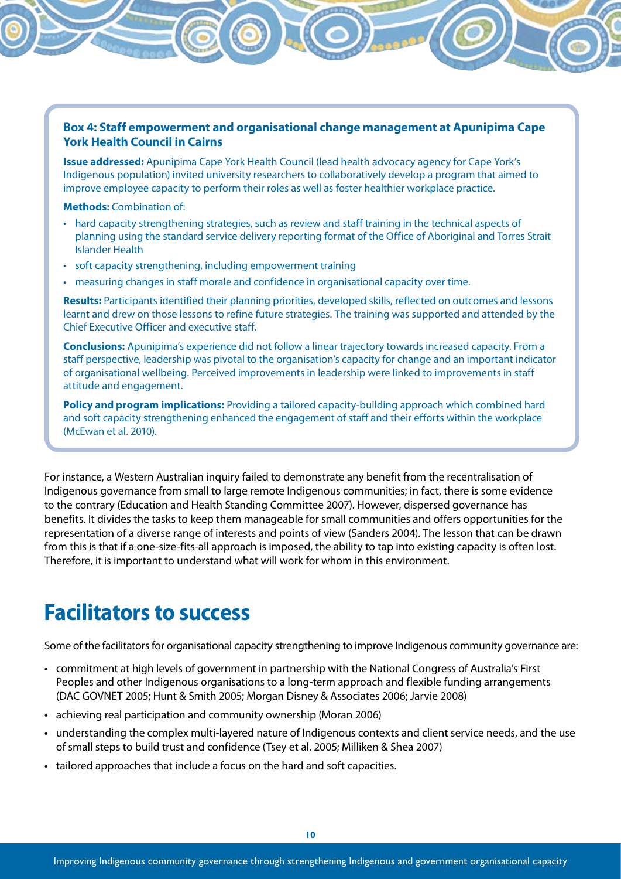#### **Box 4: Staff empowerment and organisational change management at Apunipima Cape York Health Council in Cairns**

**Issue addressed:** Apunipima Cape York Health Council (lead health advocacy agency for Cape York's Indigenous population) invited university researchers to collaboratively develop a program that aimed to improve employee capacity to perform their roles as well as foster healthier workplace practice.

**Methods:** Combination of:

- • hard capacity strengthening strategies, such as review and staff training in the technical aspects of planning using the standard service delivery reporting format of the Office of Aboriginal and Torres Strait Islander Health
- soft capacity strengthening, including empowerment training
- • measuring changes in staff morale and confidence in organisational capacity over time.

**Results:** Participants identified their planning priorities, developed skills, reflected on outcomes and lessons learnt and drew on those lessons to refine future strategies. The training was supported and attended by the Chief Executive Officer and executive staff.

**Conclusions:** Apunipima's experience did not follow a linear trajectory towards increased capacity. From a staff perspective, leadership was pivotal to the organisation's capacity for change and an important indicator of organisational wellbeing. Perceived improvements in leadership were linked to improvements in staff attitude and engagement.

**Policy and program implications:** Providing a tailored capacity-building approach which combined hard and soft capacity strengthening enhanced the engagement of staff and their efforts within the workplace (McEwan et al. 2010).

For instance, a Western Australian inquiry failed to demonstrate any benefit from the recentralisation of Indigenous governance from small to large remote Indigenous communities; in fact, there is some evidence to the contrary (Education and Health Standing Committee 2007). However, dispersed governance has benefits. It divides the tasks to keep them manageable for small communities and offers opportunities for the representation of a diverse range of interests and points of view (Sanders 2004). The lesson that can be drawn from this is that if a one-size-fits-all approach is imposed, the ability to tap into existing capacity is often lost. Therefore, it is important to understand what will work for whom in this environment.

# **Facilitators to success**

Some of the facilitators for organisational capacity strengthening to improve Indigenous community governance are:

- • commitment at high levels of government in partnership with the National Congress of Australia's First Peoples and other Indigenous organisations to a long-term approach and flexible funding arrangements (DAC GOVNET 2005; Hunt & Smith 2005; Morgan Disney & Associates 2006; Jarvie 2008)
- achieving real participation and community ownership (Moran 2006)
- • understanding the complex multi-layered nature of Indigenous contexts and client service needs, and the use of small steps to build trust and confidence (Tsey et al. 2005; Milliken & Shea 2007)
- tailored approaches that include a focus on the hard and soft capacities.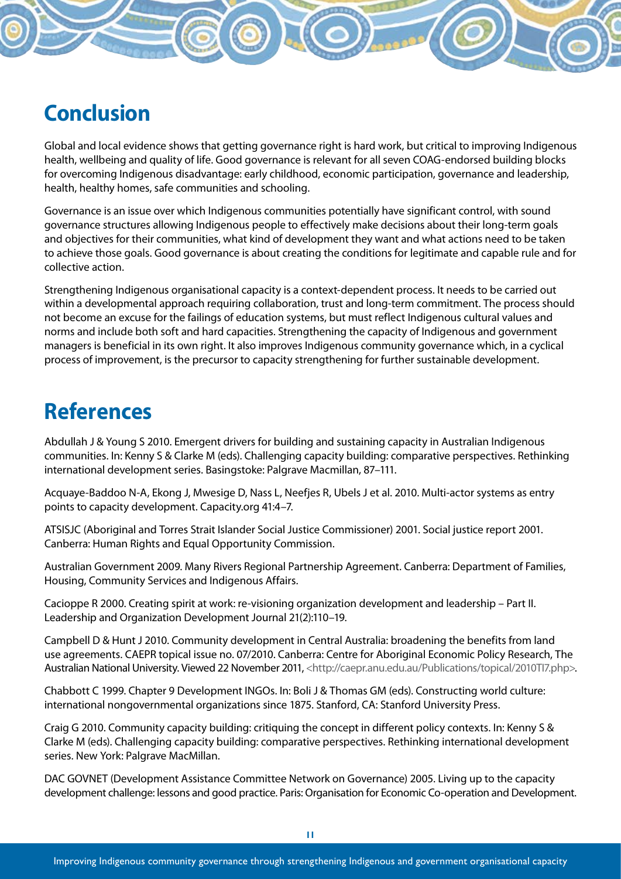# **Conclusion**

Global and local evidence shows that getting governance right is hard work, but critical to improving Indigenous health, wellbeing and quality of life. Good governance is relevant for all seven COAG-endorsed building blocks for overcoming Indigenous disadvantage: early childhood, economic participation, governance and leadership, health, healthy homes, safe communities and schooling.

Governance is an issue over which Indigenous communities potentially have significant control, with sound governance structures allowing Indigenous people to effectively make decisions about their long-term goals and objectives for their communities, what kind of development they want and what actions need to be taken to achieve those goals. Good governance is about creating the conditions for legitimate and capable rule and for collective action.

Strengthening Indigenous organisational capacity is a context-dependent process. It needs to be carried out within a developmental approach requiring collaboration, trust and long-term commitment. The process should not become an excuse for the failings of education systems, but must reflect Indigenous cultural values and norms and include both soft and hard capacities. Strengthening the capacity of Indigenous and government managers is beneficial in its own right. It also improves Indigenous community governance which, in a cyclical process of improvement, is the precursor to capacity strengthening for further sustainable development.

# **References**

Abdullah J & Young S 2010. Emergent drivers for building and sustaining capacity in Australian Indigenous communities. In: Kenny S & Clarke M (eds). Challenging capacity building: comparative perspectives. Rethinking international development series. Basingstoke: Palgrave Macmillan, 87–111.

Acquaye-Baddoo N-A, Ekong J, Mwesige D, Nass L, Neefjes R, Ubels J et al. 2010. Multi-actor systems as entry points to capacity development. Capacity.org 41:4–7.

ATSISJC (Aboriginal and Torres Strait Islander Social Justice Commissioner) 2001. Social justice report 2001. Canberra: Human Rights and Equal Opportunity Commission.

Australian Government 2009. Many Rivers Regional Partnership Agreement. Canberra: Department of Families, Housing, Community Services and Indigenous Affairs.

Cacioppe R 2000. Creating spirit at work: re-visioning organization development and leadership – Part II. Leadership and Organization Development Journal 21(2):110–19.

Campbell D & Hunt J 2010. Community development in Central Australia: broadening the benefits from land use agreements. CAEPR topical issue no. 07/2010. Canberra: Centre for Aboriginal Economic Policy Research, The Australian National University. Viewed 22 November 2011, <http://caepr.anu.edu.au/Publications/topical/2010TI7.php>.

Chabbott C 1999. Chapter 9 Development INGOs. In: Boli J & Thomas GM (eds). Constructing world culture: international nongovernmental organizations since 1875. Stanford, CA: Stanford University Press.

Craig G 2010. Community capacity building: critiquing the concept in different policy contexts. In: Kenny S & Clarke M (eds). Challenging capacity building: comparative perspectives. Rethinking international development series. New York: Palgrave MacMillan.

DAC GOVNET (Development Assistance Committee Network on Governance) 2005. Living up to the capacity development challenge: lessons and good practice. Paris: Organisation for Economic Co-operation and Development.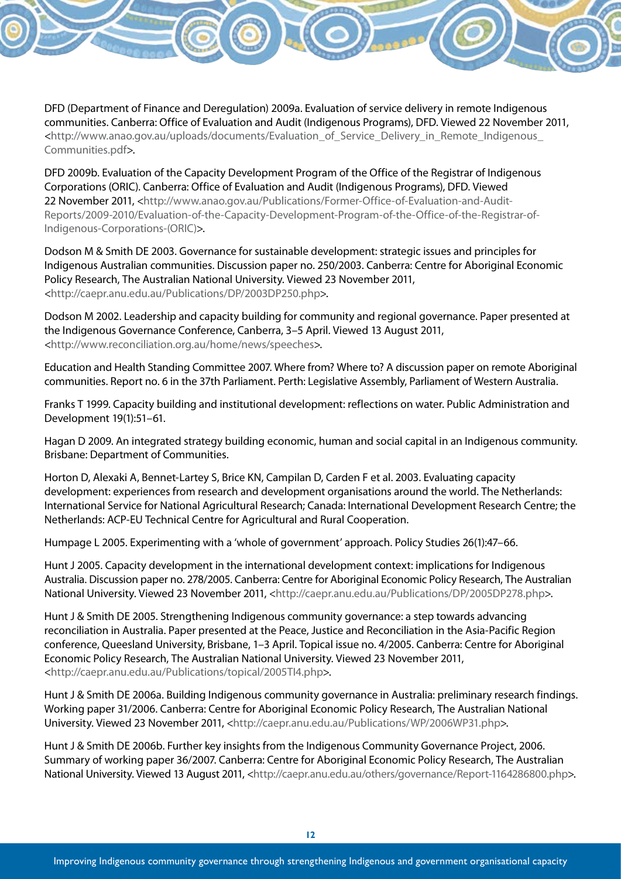DFD (Department of Finance and Deregulation) 2009a. Evaluation of service delivery in remote Indigenous communities. Canberra: Office of Evaluation and Audit (Indigenous Programs), DFD. Viewed 22 November 2011, <http://www.anao.gov.au/uploads/documents/Evaluation\_of\_Service\_Delivery\_in\_Remote\_Indigenous\_ Communities.pdf>.

DFD 2009b. Evaluation of the Capacity Development Program of the Office of the Registrar of Indigenous Corporations (ORIC). Canberra: Office of Evaluation and Audit (Indigenous Programs), DFD. Viewed 22 November 2011, <http://www.anao.gov.au/Publications/Former-Office-of-Evaluation-and-Audit-Reports/2009-2010/Evaluation-of-the-Capacity-Development-Program-of-the-Office-of-the-Registrar-of-Indigenous-Corporations-(ORIC)>.

Dodson M & Smith DE 2003. Governance for sustainable development: strategic issues and principles for Indigenous Australian communities. Discussion paper no. 250/2003. Canberra: Centre for Aboriginal Economic Policy Research, The Australian National University. Viewed 23 November 2011, <http://caepr.anu.edu.au/Publications/DP/2003DP250.php>.

Dodson M 2002. Leadership and capacity building for community and regional governance. Paper presented at the Indigenous Governance Conference, Canberra, 3–5 April. Viewed 13 August 2011, <http://www.reconciliation.org.au/home/news/speeches>.

Education and Health Standing Committee 2007. Where from? Where to? A discussion paper on remote Aboriginal communities. Report no. 6 in the 37th Parliament. Perth: Legislative Assembly, Parliament of Western Australia.

Franks T 1999. Capacity building and institutional development: reflections on water. Public Administration and Development 19(1):51–61.

Hagan D 2009. An integrated strategy building economic, human and social capital in an Indigenous community. Brisbane: Department of Communities.

Horton D, Alexaki A, Bennet-Lartey S, Brice KN, Campilan D, Carden F et al. 2003. Evaluating capacity development: experiences from research and development organisations around the world. The Netherlands: International Service for National Agricultural Research; Canada: International Development Research Centre; the Netherlands: ACP-EU Technical Centre for Agricultural and Rural Cooperation.

Humpage L 2005. Experimenting with a 'whole of government' approach. Policy Studies 26(1):47–66.

Hunt J 2005. Capacity development in the international development context: implications for Indigenous Australia. Discussion paper no. 278/2005. Canberra: Centre for Aboriginal Economic Policy Research, The Australian National University. Viewed 23 November 2011, <http://caepr.anu.edu.au/Publications/DP/2005DP278.php>.

Hunt J & Smith DE 2005. Strengthening Indigenous community governance: a step towards advancing reconciliation in Australia. Paper presented at the Peace, Justice and Reconciliation in the Asia-Pacific Region conference, Queesland University, Brisbane, 1–3 April. Topical issue no. 4/2005. Canberra: Centre for Aboriginal Economic Policy Research, The Australian National University. Viewed 23 November 2011, <http://caepr.anu.edu.au/Publications/topical/2005TI4.php>.

Hunt J & Smith DE 2006a. Building Indigenous community governance in Australia: preliminary research findings. Working paper 31/2006. Canberra: Centre for Aboriginal Economic Policy Research, The Australian National University. Viewed 23 November 2011, <http://caepr.anu.edu.au/Publications/WP/2006WP31.php>.

Hunt J & Smith DE 2006b. Further key insights from the Indigenous Community Governance Project, 2006. Summary of working paper 36/2007. Canberra: Centre for Aboriginal Economic Policy Research, The Australian National University. Viewed 13 August 2011, <http://caepr.anu.edu.au/others/governance/Report-1164286800.php>.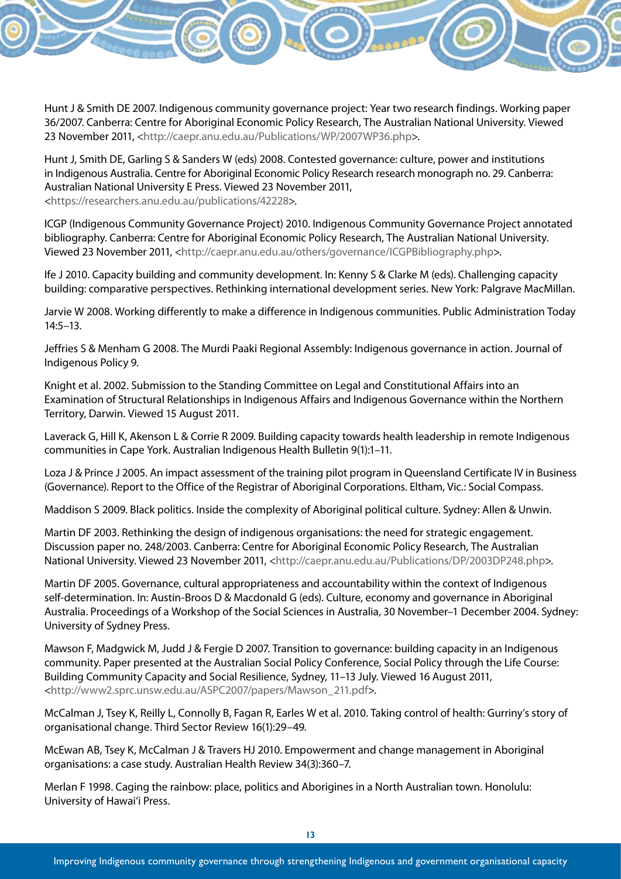Hunt J & Smith DE 2007. Indigenous community governance project: Year two research findings. Working paper 36/2007. Canberra: Centre for Aboriginal Economic Policy Research, The Australian National University. Viewed 23 November 2011, <http://caepr.anu.edu.au/Publications/WP/2007WP36.php>.

Hunt J, Smith DE, Garling S & Sanders W (eds) 2008. Contested governance: culture, power and institutions in Indigenous Australia. Centre for Aboriginal Economic Policy Research research monograph no. 29. Canberra: Australian National University E Press. Viewed 23 November 2011, <https://researchers.anu.edu.au/publications/42228>.

ICGP (Indigenous Community Governance Project) 2010. Indigenous Community Governance Project annotated bibliography. Canberra: Centre for Aboriginal Economic Policy Research, The Australian National University. Viewed 23 November 2011, <http://caepr.anu.edu.au/others/governance/ICGPBibliography.php>.

Ife J 2010. Capacity building and community development. In: Kenny S & Clarke M (eds). Challenging capacity building: comparative perspectives. Rethinking international development series. New York: Palgrave MacMillan.

Jarvie W 2008. Working differently to make a difference in Indigenous communities. Public Administration Today 14:5–13.

Jeffries S & Menham G 2008. The Murdi Paaki Regional Assembly: Indigenous governance in action. Journal of Indigenous Policy 9.

Knight et al. 2002. Submission to the Standing Committee on Legal and Constitutional Affairs into an Examination of Structural Relationships in Indigenous Affairs and Indigenous Governance within the Northern Territory, Darwin. Viewed 15 August 2011.

Laverack G, Hill K, Akenson L & Corrie R 2009. Building capacity towards health leadership in remote Indigenous communities in Cape York. Australian Indigenous Health Bulletin 9(1):1–11.

Loza J & Prince J 2005. An impact assessment of the training pilot program in Queensland Certificate IV in Business (Governance). Report to the Office of the Registrar of Aboriginal Corporations. Eltham, Vic.: Social Compass.

Maddison S 2009. Black politics. Inside the complexity of Aboriginal political culture. Sydney: Allen & Unwin.

Martin DF 2003. Rethinking the design of indigenous organisations: the need for strategic engagement. Discussion paper no. 248/2003. Canberra: Centre for Aboriginal Economic Policy Research, The Australian National University. Viewed 23 November 2011, <http://caepr.anu.edu.au/Publications/DP/2003DP248.php>.

Martin DF 2005. Governance, cultural appropriateness and accountability within the context of Indigenous self-determination. In: Austin-Broos D & Macdonald G (eds). Culture, economy and governance in Aboriginal Australia. Proceedings of a Workshop of the Social Sciences in Australia, 30 November–1 December 2004. Sydney: University of Sydney Press.

Mawson F, Madgwick M, Judd J & Fergie D 2007. Transition to governance: building capacity in an Indigenous community. Paper presented at the Australian Social Policy Conference, Social Policy through the Life Course: Building Community Capacity and Social Resilience, Sydney, 11–13 July. Viewed 16 August 2011, <http://www2.sprc.unsw.edu.au/ASPC2007/papers/Mawson\_211.pdf>.

McCalman J, Tsey K, Reilly L, Connolly B, Fagan R, Earles W et al. 2010. Taking control of health: Gurriny's story of organisational change. Third Sector Review 16(1):29–49.

McEwan AB, Tsey K, McCalman J & Travers HJ 2010. Empowerment and change management in Aboriginal organisations: a case study. Australian Health Review 34(3):360–7.

Merlan F 1998. Caging the rainbow: place, politics and Aborigines in a North Australian town. Honolulu: University of Hawai'i Press.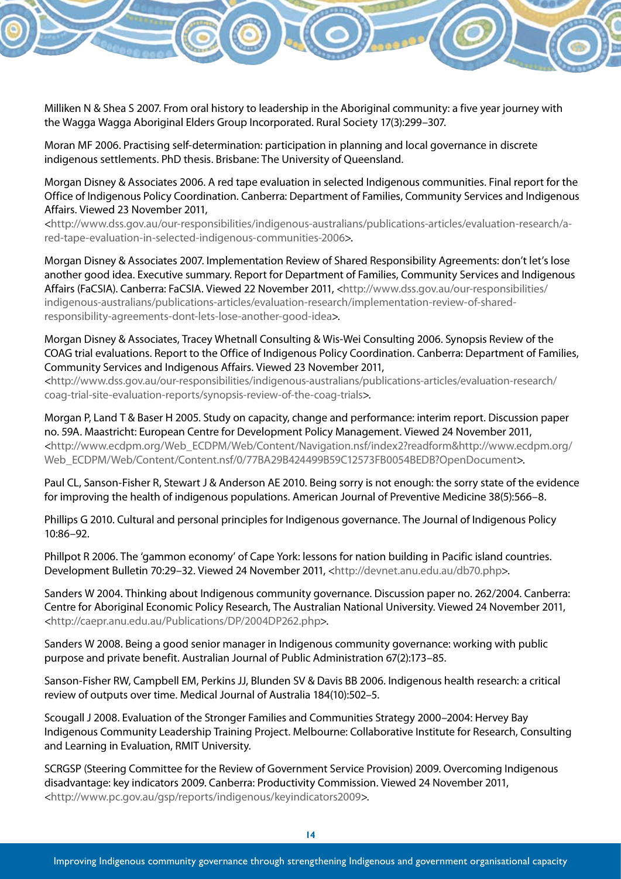Milliken N & Shea S 2007. From oral history to leadership in the Aboriginal community: a five year journey with the Wagga Wagga Aboriginal Elders Group Incorporated. Rural Society 17(3):299–307.

Moran MF 2006. Practising self-determination: participation in planning and local governance in discrete indigenous settlements. PhD thesis. Brisbane: The University of Queensland.

Morgan Disney & Associates 2006. A red tape evaluation in selected Indigenous communities. Final report for the Office of Indigenous Policy Coordination. Canberra: Department of Families, Community Services and Indigenous Affairs. Viewed 23 November 2011,

<http://www.dss.gov.au/our-responsibilities/indigenous-australians/publications-articles/evaluation-research/ared-tape-evaluation-in-selected-indigenous-communities-2006>.

Morgan Disney & Associates 2007. Implementation Review of Shared Responsibility Agreements: don't let's lose another good idea. Executive summary. Report for Department of Families, Community Services and Indigenous Affairs (FaCSIA). Canberra: FaCSIA. Viewed 22 November 2011, <http://www.dss.gov.au/our-responsibilities/ indigenous-australians/publications-articles/evaluation-research/implementation-review-of-sharedresponsibility-agreements-dont-lets-lose-another-good-idea>.

Morgan Disney & Associates, Tracey Whetnall Consulting & Wis-Wei Consulting 2006. Synopsis Review of the COAG trial evaluations. Report to the Office of Indigenous Policy Coordination. Canberra: Department of Families, Community Services and Indigenous Affairs. Viewed 23 November 2011,

<http://www.dss.gov.au/our-responsibilities/indigenous-australians/publications-articles/evaluation-research/ coag-trial-site-evaluation-reports/synopsis-review-of-the-coag-trials>.

Morgan P, Land T & Baser H 2005. Study on capacity, change and performance: interim report. Discussion paper no. 59A. Maastricht: European Centre for Development Policy Management. Viewed 24 November 2011, <http://www.ecdpm.org/Web\_ECDPM/Web/Content/Navigation.nsf/index2?readform&http://www.ecdpm.org/ Web\_ECDPM/Web/Content/Content.nsf/0/77BA29B424499B59C12573FB0054BEDB?OpenDocument>.

Paul CL, Sanson-Fisher R, Stewart J & Anderson AE 2010. Being sorry is not enough: the sorry state of the evidence for improving the health of indigenous populations. American Journal of Preventive Medicine 38(5):566–8.

Phillips G 2010. Cultural and personal principles for Indigenous governance. The Journal of Indigenous Policy 10:86–92.

Phillpot R 2006. The 'gammon economy' of Cape York: lessons for nation building in Pacific island countries. Development Bulletin 70:29–32. Viewed 24 November 2011, <http://devnet.anu.edu.au/db70.php>.

Sanders W 2004. Thinking about Indigenous community governance. Discussion paper no. 262/2004. Canberra: Centre for Aboriginal Economic Policy Research, The Australian National University. Viewed 24 November 2011, <http://caepr.anu.edu.au/Publications/DP/2004DP262.php>.

Sanders W 2008. Being a good senior manager in Indigenous community governance: working with public purpose and private benefit. Australian Journal of Public Administration 67(2):173–85.

Sanson-Fisher RW, Campbell EM, Perkins JJ, Blunden SV & Davis BB 2006. Indigenous health research: a critical review of outputs over time. Medical Journal of Australia 184(10):502–5.

Scougall J 2008. Evaluation of the Stronger Families and Communities Strategy 2000–2004: Hervey Bay Indigenous Community Leadership Training Project. Melbourne: Collaborative Institute for Research, Consulting and Learning in Evaluation, RMIT University.

SCRGSP (Steering Committee for the Review of Government Service Provision) 2009. Overcoming Indigenous disadvantage: key indicators 2009. Canberra: Productivity Commission. Viewed 24 November 2011, <http://www.pc.gov.au/gsp/reports/indigenous/keyindicators2009>.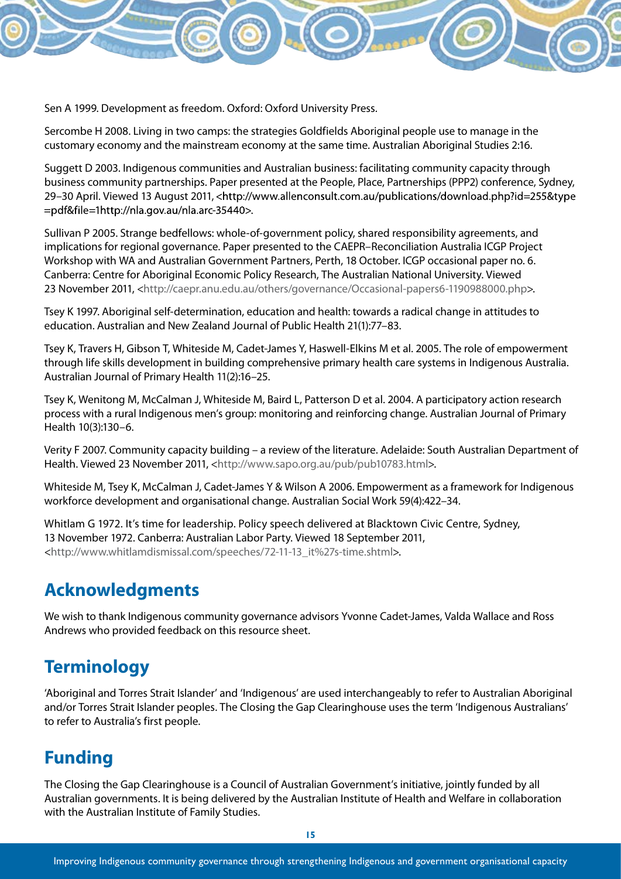

Sercombe H 2008. Living in two camps: the strategies Goldfields Aboriginal people use to manage in the customary economy and the mainstream economy at the same time. Australian Aboriginal Studies 2:16.

Suggett D 2003. Indigenous communities and Australian business: facilitating community capacity through business community partnerships. Paper presented at the People, Place, Partnerships (PPP2) conference, Sydney, 29–30 April. Viewed 13 August 2011, =pdf&file=1http://nla.gov.au/nla.arc-35440>.

Sullivan P 2005. Strange bedfellows: whole-of-government policy, shared responsibility agreements, and implications for regional governance. Paper presented to the CAEPR–Reconciliation Australia ICGP Project Workshop with WA and Australian Government Partners, Perth, 18 October. ICGP occasional paper no. 6. Canberra: Centre for Aboriginal Economic Policy Research, The Australian National University. Viewed 23 November 2011, <http://caepr.anu.edu.au/others/governance/Occasional-papers6-1190988000.php>.

Tsey K 1997. Aboriginal self-determination, education and health: towards a radical change in attitudes to education. Australian and New Zealand Journal of Public Health 21(1):77–83.

Tsey K, Travers H, Gibson T, Whiteside M, Cadet-James Y, Haswell-Elkins M et al. 2005. The role of empowerment through life skills development in building comprehensive primary health care systems in Indigenous Australia. Australian Journal of Primary Health 11(2):16–25.

Tsey K, Wenitong M, McCalman J, Whiteside M, Baird L, Patterson D et al. 2004. A participatory action research process with a rural Indigenous men's group: monitoring and reinforcing change. Australian Journal of Primary Health 10(3):130–6.

Verity F 2007. Community capacity building – a review of the literature. Adelaide: South Australian Department of Health. Viewed 23 November 2011, <http://www.sapo.org.au/pub/pub10783.html>.

Whiteside M, Tsey K, McCalman J, Cadet-James Y & Wilson A 2006. Empowerment as a framework for Indigenous workforce development and organisational change. Australian Social Work 59(4):422–34.

Whitlam G 1972. It's time for leadership. Policy speech delivered at Blacktown Civic Centre, Sydney, 13 November 1972. Canberra: Australian Labor Party. Viewed 18 September 2011, <http://www.whitlamdismissal.com/speeches/72-11-13\_it%27s-time.shtml>.

## **Acknowledgments**

We wish to thank Indigenous community governance advisors Yvonne Cadet-James, Valda Wallace and Ross Andrews who provided feedback on this resource sheet.

## **Terminology**

'Aboriginal and Torres Strait Islander' and 'Indigenous' are used interchangeably to refer to Australian Aboriginal and/or Torres Strait Islander peoples. The Closing the Gap Clearinghouse uses the term 'Indigenous Australians' to refer to Australia's first people.

## **Funding**

The Closing the Gap Clearinghouse is a Council of Australian Government's initiative, jointly funded by all Australian governments. It is being delivered by the Australian Institute of Health and Welfare in collaboration with the Australian Institute of Family Studies.